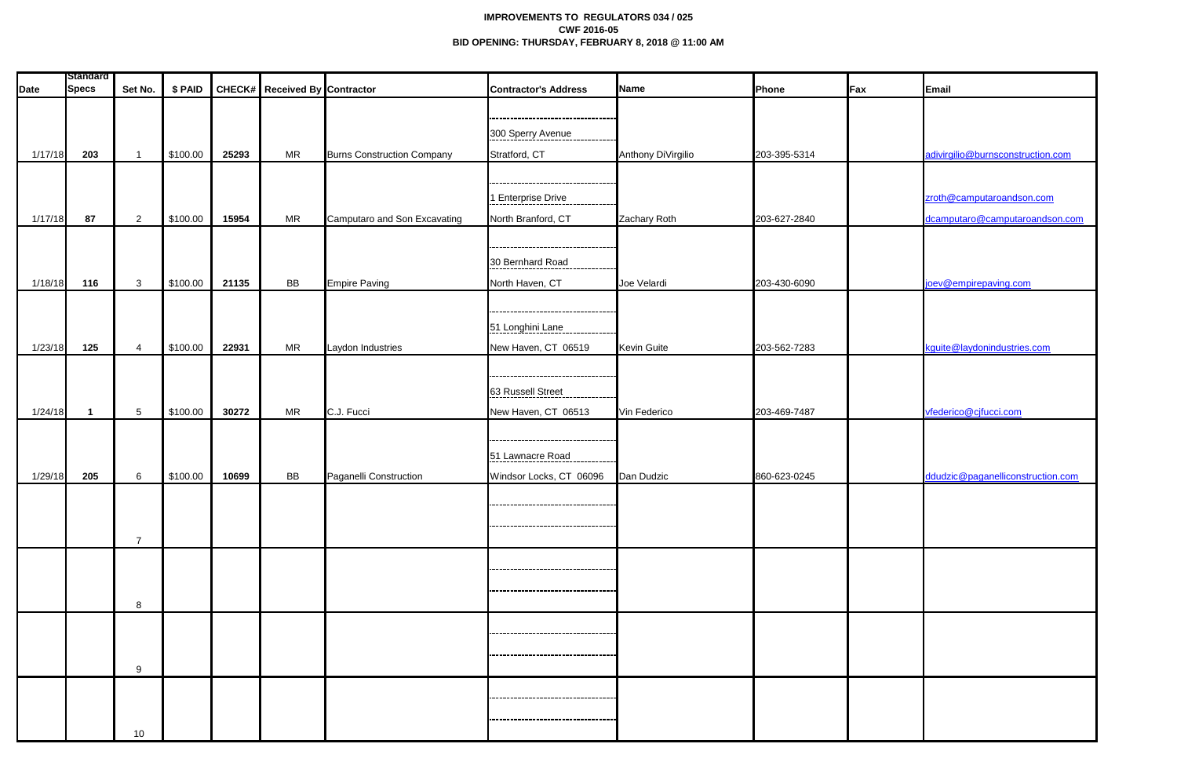## **IMPROVEMENTS TO REGULATORS 034 / 025 CWF 2016-05 BID OPENING: THURSDAY, FEBRUARY 8, 2018 @ 11:00 AM**

| <b>Date</b> | <b>Standard</b><br><b>Specs</b> | Set No.         | \$ PAID  |       | <b>CHECK#</b> Received By Contractor |                                   | <b>Contractor's Address</b>         | Name               | Phone        | <b>Fax</b> | Email                             |
|-------------|---------------------------------|-----------------|----------|-------|--------------------------------------|-----------------------------------|-------------------------------------|--------------------|--------------|------------|-----------------------------------|
|             |                                 |                 |          |       |                                      |                                   |                                     |                    |              |            |                                   |
|             |                                 |                 |          |       |                                      |                                   | 300 Sperry Avenue                   |                    |              |            |                                   |
| 1/17/18     | 203                             | - 1             | \$100.00 | 25293 | <b>MR</b>                            | <b>Burns Construction Company</b> | Stratford, CT                       | Anthony DiVirgilio | 203-395-5314 |            | adivirgilio@burnsconstruction.com |
|             |                                 |                 |          |       |                                      |                                   |                                     |                    |              |            |                                   |
|             |                                 |                 |          |       |                                      |                                   | 1 Enterprise Drive                  |                    |              |            | zroth@camputaroandson.com         |
| 1/17/18     | 87                              | $\overline{2}$  | \$100.00 | 15954 | MR                                   | Camputaro and Son Excavating      | North Branford, CT                  | Zachary Roth       | 203-627-2840 |            | dcamputaro@camputaroandson.com    |
|             |                                 |                 |          |       |                                      |                                   |                                     |                    |              |            |                                   |
|             |                                 |                 |          |       |                                      |                                   | 30 Bernhard Road                    |                    |              |            |                                   |
| 1/18/18     | 116                             | $\mathbf{3}$    | \$100.00 | 21135 | BB                                   | <b>Empire Paving</b>              | North Haven, CT                     | Joe Velardi        | 203-430-6090 |            | joev@empirepaving.com             |
|             |                                 |                 |          |       |                                      |                                   |                                     |                    |              |            |                                   |
|             |                                 |                 |          |       |                                      |                                   |                                     |                    |              |            |                                   |
|             |                                 |                 |          |       |                                      |                                   | 51 Longhini Lane                    |                    |              |            |                                   |
| 1/23/18     | 125                             | $\overline{4}$  | \$100.00 | 22931 | <b>MR</b>                            | Laydon Industries                 | New Haven, CT 06519                 | <b>Kevin Guite</b> | 203-562-7283 |            | kguite@laydonindustries.com       |
|             |                                 |                 |          |       |                                      |                                   |                                     |                    |              |            |                                   |
|             |                                 |                 |          |       |                                      |                                   | 63 Russell Street<br>-----------    |                    |              |            |                                   |
| 1/24/18     |                                 | $5\phantom{.0}$ | \$100.00 | 30272 | <b>MR</b>                            | C.J. Fucci                        | New Haven, CT 06513                 | Vin Federico       | 203-469-7487 |            | vfederico@cjfucci.com             |
|             |                                 |                 |          |       |                                      |                                   |                                     |                    |              |            |                                   |
|             |                                 |                 |          |       |                                      |                                   | 51 Lawnacre Road                    |                    |              |            |                                   |
| 1/29/18     | 205                             | 6               | \$100.00 | 10699 | <b>BB</b>                            | Paganelli Construction            | Windsor Locks, CT 06096             | Dan Dudzic         | 860-623-0245 |            | ddudzic@paganelliconstruction.com |
|             |                                 |                 |          |       |                                      |                                   |                                     |                    |              |            |                                   |
|             |                                 |                 |          |       |                                      |                                   |                                     |                    |              |            |                                   |
|             |                                 | $\overline{7}$  |          |       |                                      |                                   |                                     |                    |              |            |                                   |
|             |                                 |                 |          |       |                                      |                                   |                                     |                    |              |            |                                   |
|             |                                 |                 |          |       |                                      |                                   |                                     |                    |              |            |                                   |
|             |                                 | 8               |          |       |                                      |                                   |                                     |                    |              |            |                                   |
|             |                                 |                 |          |       |                                      |                                   | ----------------------------------- |                    |              |            |                                   |
|             |                                 |                 |          |       |                                      |                                   | ----------------------------------- |                    |              |            |                                   |
|             |                                 | 9               |          |       |                                      |                                   |                                     |                    |              |            |                                   |
|             |                                 |                 |          |       |                                      |                                   | ----------------------------------  |                    |              |            |                                   |
|             |                                 |                 |          |       |                                      |                                   |                                     |                    |              |            |                                   |
|             |                                 | 10              |          |       |                                      |                                   | ----------------------------------  |                    |              |            |                                   |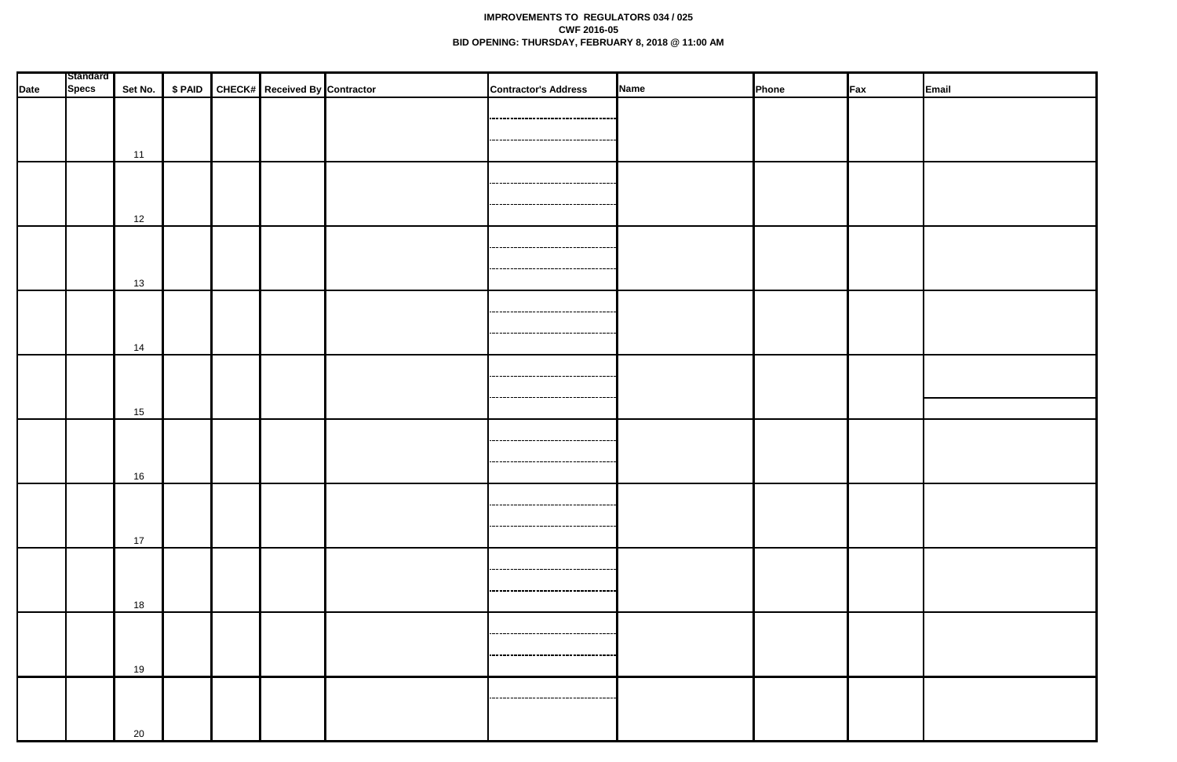## **IMPROVEMENTS TO REGULATORS 034 / 025 CWF 2016-05 BID OPENING: THURSDAY, FEBRUARY 8, 2018 @ 11:00 AM**

|      | <b>Standard</b> |    |  |                                                     |                                                                              |             |       |     |       |
|------|-----------------|----|--|-----------------------------------------------------|------------------------------------------------------------------------------|-------------|-------|-----|-------|
| Date | <b>Specs</b>    |    |  | Set No.   \$ PAID   CHECK#   Received By Contractor | <b>Contractor's Address</b>                                                  | <b>Name</b> | Phone | Fax | Email |
|      |                 | 11 |  |                                                     | ------------------------------------<br>------------------------------------ |             |       |     |       |
|      |                 | 12 |  |                                                     | ------------------------------                                               |             |       |     |       |
|      |                 | 13 |  |                                                     | <br>,,,,,,,,,,,,,,,,,,,,,,,,,,,,,,,,,,,,,,                                   |             |       |     |       |
|      |                 | 14 |  |                                                     | ----------------------------------                                           |             |       |     |       |
|      |                 | 15 |  |                                                     | ,,,,,,,,,,,,,,,,,,,,,,,,,,,,,,,,,,,,,<br>-------------------------------     |             |       |     |       |
|      |                 | 16 |  |                                                     | ----------------------------------<br>----------------------------------     |             |       |     |       |
|      |                 | 17 |  |                                                     | -----------------------------------<br>-----------------------------------   |             |       |     |       |
|      |                 | 18 |  |                                                     | -----------------------------------<br>------------------------------------- |             |       |     |       |
|      |                 | 19 |  |                                                     | ,,,,,,,,,,,,,,,,,,,,,,,,,,,,,,,,,,,<br>-----------------------------------   |             |       |     |       |
|      |                 | 20 |  |                                                     |                                                                              |             |       |     |       |